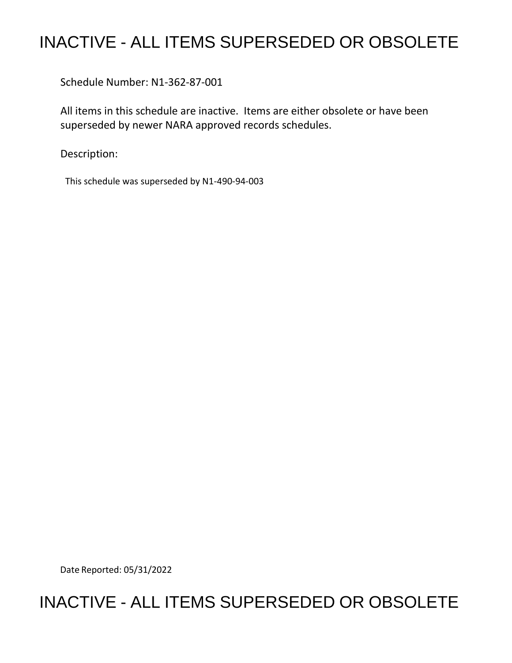## INACTIVE - ALL ITEMS SUPERSEDED OR OBSOLETE

Schedule Number: N1-362-87-001

 All items in this schedule are inactive. Items are either obsolete or have been superseded by newer NARA approved records schedules.

Description:

This schedule was superseded by N1-490-94-003

Date Reported: 05/31/2022

## INACTIVE - ALL ITEMS SUPERSEDED OR OBSOLETE